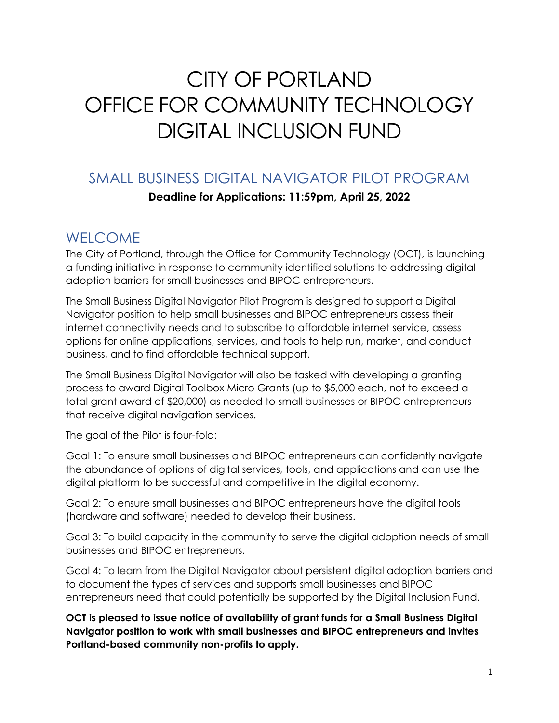## CITY OF PORTLAND OFFICE FOR COMMUNITY TECHNOLOGY DIGITAL INCLUSION FUND

### SMALL BUSINESS DIGITAL NAVIGATOR PILOT PROGRAM **Deadline for Applications: 11:59pm, April 25, 2022**

## WELCOME

The City of Portland, through the Office for Community Technology (OCT), is launching a funding initiative in response to community identified solutions to addressing digital adoption barriers for small businesses and BIPOC entrepreneurs.

The Small Business Digital Navigator Pilot Program is designed to support a Digital Navigator position to help small businesses and BIPOC entrepreneurs assess their internet connectivity needs and to subscribe to affordable internet service, assess options for online applications, services, and tools to help run, market, and conduct business, and to find affordable technical support.

The Small Business Digital Navigator will also be tasked with developing a granting process to award Digital Toolbox Micro Grants (up to \$5,000 each, not to exceed a total grant award of \$20,000) as needed to small businesses or BIPOC entrepreneurs that receive digital navigation services.

The goal of the Pilot is four-fold:

Goal 1: To ensure small businesses and BIPOC entrepreneurs can confidently navigate the abundance of options of digital services, tools, and applications and can use the digital platform to be successful and competitive in the digital economy.

Goal 2: To ensure small businesses and BIPOC entrepreneurs have the digital tools (hardware and software) needed to develop their business.

Goal 3: To build capacity in the community to serve the digital adoption needs of small businesses and BIPOC entrepreneurs.

Goal 4: To learn from the Digital Navigator about persistent digital adoption barriers and to document the types of services and supports small businesses and BIPOC entrepreneurs need that could potentially be supported by the Digital Inclusion Fund.

**OCT is pleased to issue notice of availability of grant funds for a Small Business Digital Navigator position to work with small businesses and BIPOC entrepreneurs and invites Portland-based community non-profits to apply.**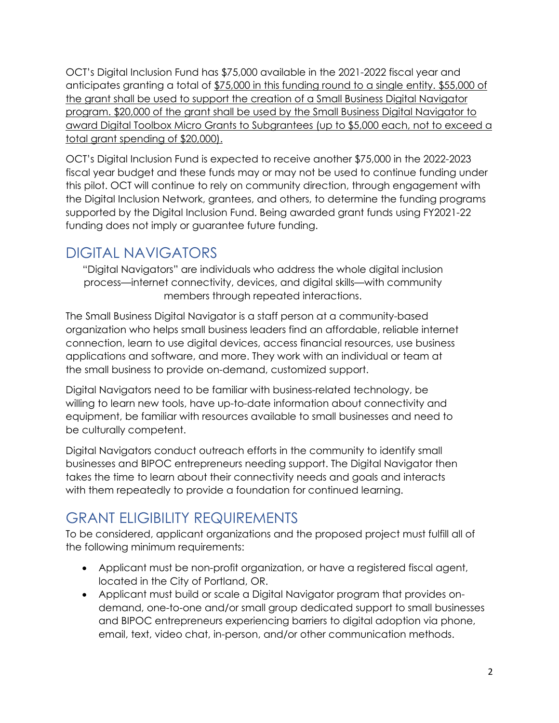OCT's Digital Inclusion Fund has \$75,000 available in the 2021-2022 fiscal year and anticipates granting a total of \$75,000 in this funding round to a single entity. \$55,000 of the grant shall be used to support the creation of a Small Business Digital Navigator program. \$20,000 of the grant shall be used by the Small Business Digital Navigator to award Digital Toolbox Micro Grants to Subgrantees (up to \$5,000 each, not to exceed a total grant spending of \$20,000).

OCT's Digital Inclusion Fund is expected to receive another \$75,000 in the 2022-2023 fiscal year budget and these funds may or may not be used to continue funding under this pilot. OCT will continue to rely on community direction, through engagement with the Digital Inclusion Network, grantees, and others, to determine the funding programs supported by the Digital Inclusion Fund. Being awarded grant funds using FY2021-22 funding does not imply or guarantee future funding.

## DIGITAL NAVIGATORS

"Digital Navigators" are individuals who address the whole digital inclusion process—internet connectivity, devices, and digital skills—with community members through repeated interactions.

The Small Business Digital Navigator is a staff person at a community-based organization who helps small business leaders find an affordable, reliable internet connection, learn to use digital devices, access financial resources, use business applications and software, and more. They work with an individual or team at the small business to provide on-demand, customized support.

Digital Navigators need to be familiar with business-related technology, be willing to learn new tools, have up-to-date information about connectivity and equipment, be familiar with resources available to small businesses and need to be culturally competent.

Digital Navigators conduct outreach efforts in the community to identify small businesses and BIPOC entrepreneurs needing support. The Digital Navigator then takes the time to learn about their connectivity needs and goals and interacts with them repeatedly to provide a foundation for continued learning.

## GRANT ELIGIBILITY REQUIREMENTS

To be considered, applicant organizations and the proposed project must fulfill all of the following minimum requirements:

- Applicant must be non-profit organization, or have a registered fiscal agent, located in the City of Portland, OR.
- Applicant must build or scale a Digital Navigator program that provides ondemand, one-to-one and/or small group dedicated support to small businesses and BIPOC entrepreneurs experiencing barriers to digital adoption via phone, email, text, video chat, in-person, and/or other communication methods.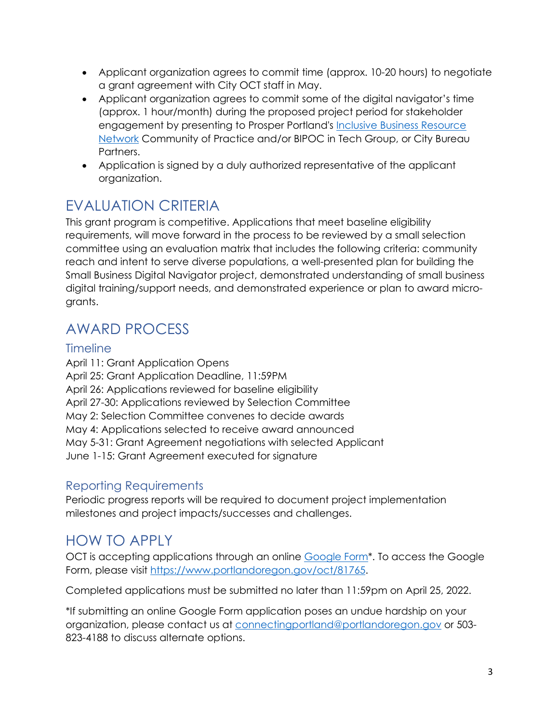- Applicant organization agrees to commit time (approx. 10-20 hours) to negotiate a grant agreement with City OCT staff in May.
- Applicant organization agrees to commit some of the digital navigator's time (approx. 1 hour/month) during the proposed project period for stakeholder engagement by presenting to Prosper Portland's Inclusive Business Resource [Network](https://prosperportland.us/portfolio-items/inclusive-business-resource-network/) Community of Practice and/or BIPOC in Tech Group, or City Bureau Partners.
- Application is signed by a duly authorized representative of the applicant organization.

## EVALUATION CRITERIA

This grant program is competitive. Applications that meet baseline eligibility requirements, will move forward in the process to be reviewed by a small selection committee using an evaluation matrix that includes the following criteria: community reach and intent to serve diverse populations, a well-presented plan for building the Small Business Digital Navigator project, demonstrated understanding of small business digital training/support needs, and demonstrated experience or plan to award microgrants.

## AWARD PROCESS

#### **Timeline**

April 11: Grant Application Opens April 25: Grant Application Deadline, 11:59PM April 26: Applications reviewed for baseline eligibility April 27-30: Applications reviewed by Selection Committee May 2: Selection Committee convenes to decide awards May 4: Applications selected to receive award announced May 5-31: Grant Agreement negotiations with selected Applicant June 1-15: Grant Agreement executed for signature

#### Reporting Requirements

Periodic progress reports will be required to document project implementation milestones and project impacts/successes and challenges.

## HOW TO APPLY

OCT is accepting applications through an online Google Form<sup>\*</sup>. To access the Google Form, please visit [https://www.portlandoregon.gov/oct/81765.](https://www.portlandoregon.gov/oct/81765)

Completed applications must be submitted no later than 11:59pm on April 25, 2022.

\*If submitting an online Google Form application poses an undue hardship on your organization, please contact us at [connectingportland@portlandoregon.gov](mailto:connectingportland@portlandoregon.gov) or 503- 823-4188 to discuss alternate options.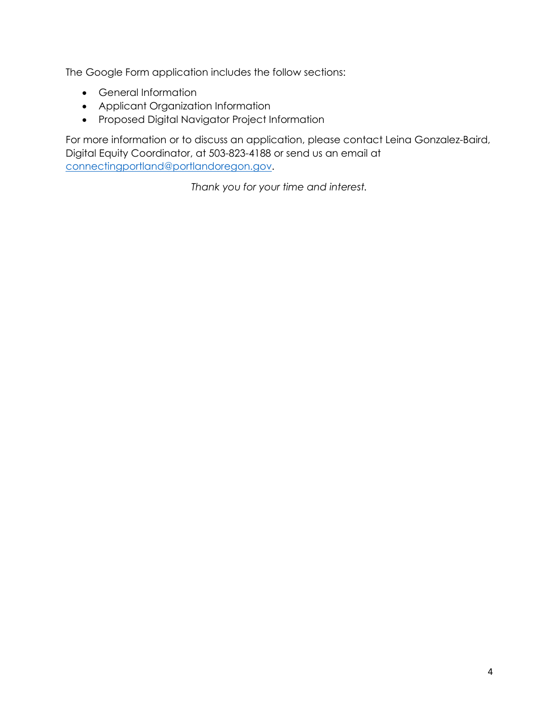The Google Form application includes the follow sections:

- General Information
- Applicant Organization Information
- Proposed Digital Navigator Project Information

For more information or to discuss an application, please contact Leina Gonzalez-Baird, Digital Equity Coordinator, at 503-823-4188 or send us an email at [connectingportland@portlandoregon.gov.](mailto:connectingportland@portlandoregon.gov)

*Thank you for your time and interest.*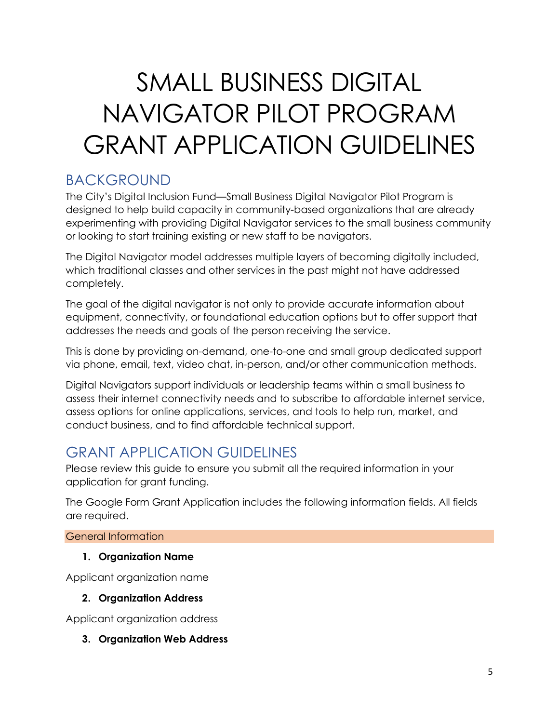# SMALL BUSINESS DIGITAL NAVIGATOR PILOT PROGRAM GRANT APPLICATION GUIDELINES

## BACKGROUND

The City's Digital Inclusion Fund—Small Business Digital Navigator Pilot Program is designed to help build capacity in community-based organizations that are already experimenting with providing Digital Navigator services to the small business community or looking to start training existing or new staff to be navigators.

The Digital Navigator model addresses multiple layers of becoming digitally included, which traditional classes and other services in the past might not have addressed completely.

The goal of the digital navigator is not only to provide accurate information about equipment, connectivity, or foundational education options but to offer support that addresses the needs and goals of the person receiving the service.

This is done by providing on-demand, one-to-one and small group dedicated support via phone, email, text, video chat, in-person, and/or other communication methods.

Digital Navigators support individuals or leadership teams within a small business to assess their internet connectivity needs and to subscribe to affordable internet service, assess options for online applications, services, and tools to help run, market, and conduct business, and to find affordable technical support.

## GRANT APPLICATION GUIDELINES

Please review this guide to ensure you submit all the required information in your application for grant funding.

The Google Form Grant Application includes the following information fields. All fields are required.

#### General Information

#### **1. Organization Name**

Applicant organization name

#### **2. Organization Address**

Applicant organization address

**3. Organization Web Address**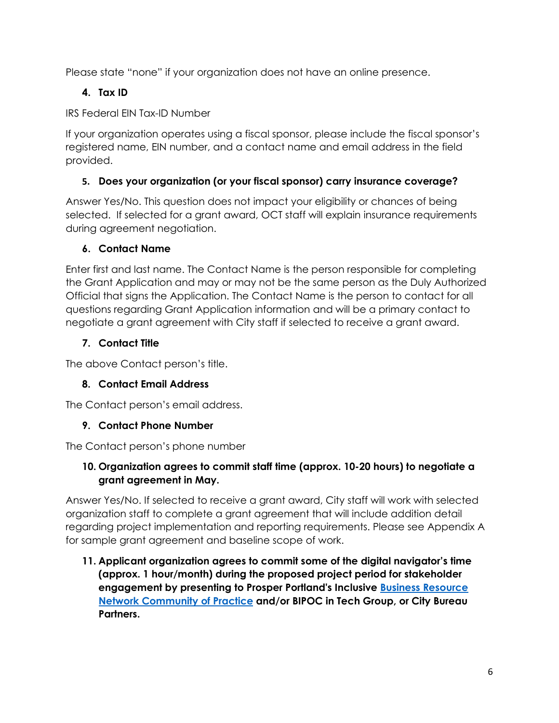Please state "none" if your organization does not have an online presence.

#### **4. Tax ID**

IRS Federal EIN Tax-ID Number

If your organization operates using a fiscal sponsor, please include the fiscal sponsor's registered name, EIN number, and a contact name and email address in the field provided.

#### **5. Does your organization (or your fiscal sponsor) carry insurance coverage?**

Answer Yes/No. This question does not impact your eligibility or chances of being selected. If selected for a grant award, OCT staff will explain insurance requirements during agreement negotiation.

#### **6. Contact Name**

Enter first and last name. The Contact Name is the person responsible for completing the Grant Application and may or may not be the same person as the Duly Authorized Official that signs the Application. The Contact Name is the person to contact for all questions regarding Grant Application information and will be a primary contact to negotiate a grant agreement with City staff if selected to receive a grant award.

#### **7. Contact Title**

The above Contact person's title.

#### **8. Contact Email Address**

The Contact person's email address.

#### **9. Contact Phone Number**

The Contact person's phone number

#### **10. Organization agrees to commit staff time (approx. 10-20 hours) to negotiate a grant agreement in May.**

Answer Yes/No. If selected to receive a grant award, City staff will work with selected organization staff to complete a grant agreement that will include addition detail regarding project implementation and reporting requirements. Please see Appendix A for sample grant agreement and baseline scope of work.

**11. Applicant organization agrees to commit some of the digital navigator's time (approx. 1 hour/month) during the proposed project period for stakeholder engagement by presenting to Prosper Portland's Inclusive [Business Resource](https://prosperportland.us/portfolio-items/inclusive-business-resource-network/)  [Network Community of Practice](https://prosperportland.us/portfolio-items/inclusive-business-resource-network/) and/or BIPOC in Tech Group, or City Bureau Partners.**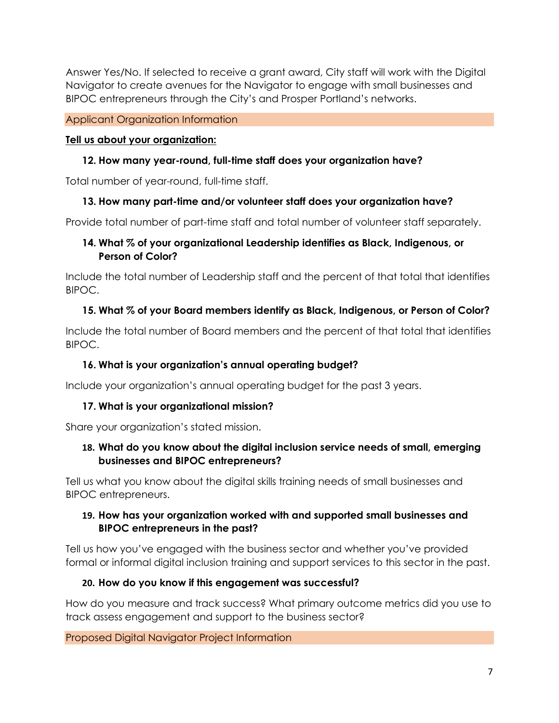Answer Yes/No. If selected to receive a grant award, City staff will work with the Digital Navigator to create avenues for the Navigator to engage with small businesses and BIPOC entrepreneurs through the City's and Prosper Portland's networks.

#### Applicant Organization Information

#### **Tell us about your organization:**

#### **12. How many year-round, full-time staff does your organization have?**

Total number of year-round, full-time staff.

#### **13. How many part-time and/or volunteer staff does your organization have?**

Provide total number of part-time staff and total number of volunteer staff separately.

#### **14. What % of your organizational Leadership identifies as Black, Indigenous, or Person of Color?**

Include the total number of Leadership staff and the percent of that total that identifies BIPOC.

#### **15. What % of your Board members identify as Black, Indigenous, or Person of Color?**

Include the total number of Board members and the percent of that total that identifies BIPOC.

#### **16. What is your organization's annual operating budget?**

Include your organization's annual operating budget for the past 3 years.

#### **17. What is your organizational mission?**

Share your organization's stated mission.

#### **18. What do you know about the digital inclusion service needs of small, emerging businesses and BIPOC entrepreneurs?**

Tell us what you know about the digital skills training needs of small businesses and BIPOC entrepreneurs.

#### **19. How has your organization worked with and supported small businesses and BIPOC entrepreneurs in the past?**

Tell us how you've engaged with the business sector and whether you've provided formal or informal digital inclusion training and support services to this sector in the past.

#### **20. How do you know if this engagement was successful?**

How do you measure and track success? What primary outcome metrics did you use to track assess engagement and support to the business sector?

Proposed Digital Navigator Project Information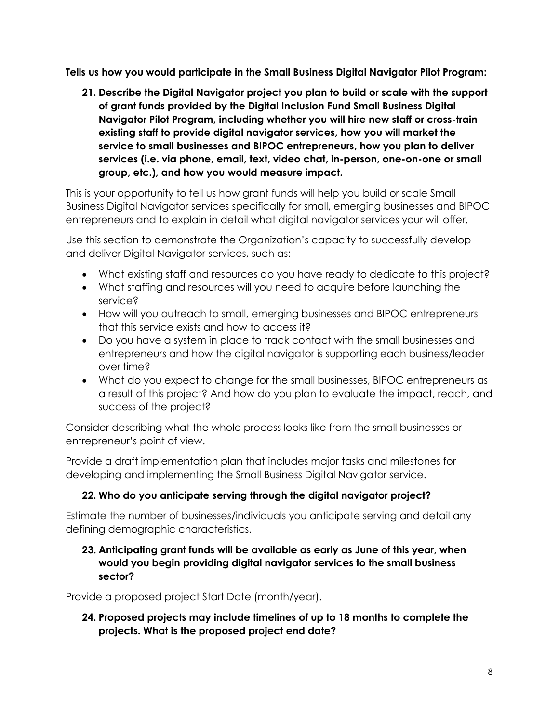**Tells us how you would participate in the Small Business Digital Navigator Pilot Program:** 

**21. Describe the Digital Navigator project you plan to build or scale with the support of grant funds provided by the Digital Inclusion Fund Small Business Digital Navigator Pilot Program, including whether you will hire new staff or cross-train existing staff to provide digital navigator services, how you will market the service to small businesses and BIPOC entrepreneurs, how you plan to deliver services (i.e. via phone, email, text, video chat, in-person, one-on-one or small group, etc.), and how you would measure impact.** 

This is your opportunity to tell us how grant funds will help you build or scale Small Business Digital Navigator services specifically for small, emerging businesses and BIPOC entrepreneurs and to explain in detail what digital navigator services your will offer.

Use this section to demonstrate the Organization's capacity to successfully develop and deliver Digital Navigator services, such as:

- What existing staff and resources do you have ready to dedicate to this project?
- What staffing and resources will you need to acquire before launching the service?
- How will you outreach to small, emerging businesses and BIPOC entrepreneurs that this service exists and how to access it?
- Do you have a system in place to track contact with the small businesses and entrepreneurs and how the digital navigator is supporting each business/leader over time?
- What do you expect to change for the small businesses, BIPOC entrepreneurs as a result of this project? And how do you plan to evaluate the impact, reach, and success of the project?

Consider describing what the whole process looks like from the small businesses or entrepreneur's point of view.

Provide a draft implementation plan that includes major tasks and milestones for developing and implementing the Small Business Digital Navigator service.

#### **22. Who do you anticipate serving through the digital navigator project?**

Estimate the number of businesses/individuals you anticipate serving and detail any defining demographic characteristics.

#### **23. Anticipating grant funds will be available as early as June of this year, when would you begin providing digital navigator services to the small business sector?**

Provide a proposed project Start Date (month/year).

#### **24. Proposed projects may include timelines of up to 18 months to complete the projects. What is the proposed project end date?**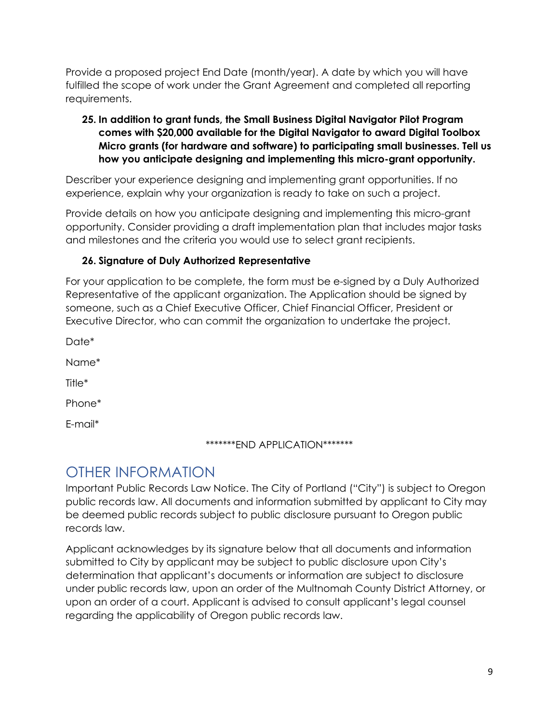Provide a proposed project End Date (month/year). A date by which you will have fulfilled the scope of work under the Grant Agreement and completed all reporting requirements.

#### **25. In addition to grant funds, the Small Business Digital Navigator Pilot Program comes with \$20,000 available for the Digital Navigator to award Digital Toolbox Micro grants (for hardware and software) to participating small businesses. Tell us how you anticipate designing and implementing this micro-grant opportunity.**

Describer your experience designing and implementing grant opportunities. If no experience, explain why your organization is ready to take on such a project.

Provide details on how you anticipate designing and implementing this micro-grant opportunity. Consider providing a draft implementation plan that includes major tasks and milestones and the criteria you would use to select grant recipients.

#### **26. Signature of Duly Authorized Representative**

For your application to be complete, the form must be e-signed by a Duly Authorized Representative of the applicant organization. The Application should be signed by someone, such as a Chief Executive Officer, Chief Financial Officer, President or Executive Director, who can commit the organization to undertake the project.

Date\*

Name\*

Title\*

Phone\*

E-mail\*

#### \*\*\*\*\*\*\*END APPLICATION\*\*\*\*\*\*\*

## OTHER INFORMATION

Important Public Records Law Notice. The City of Portland ("City") is subject to Oregon public records law. All documents and information submitted by applicant to City may be deemed public records subject to public disclosure pursuant to Oregon public records law.

Applicant acknowledges by its signature below that all documents and information submitted to City by applicant may be subject to public disclosure upon City's determination that applicant's documents or information are subject to disclosure under public records law, upon an order of the Multnomah County District Attorney, or upon an order of a court. Applicant is advised to consult applicant's legal counsel regarding the applicability of Oregon public records law.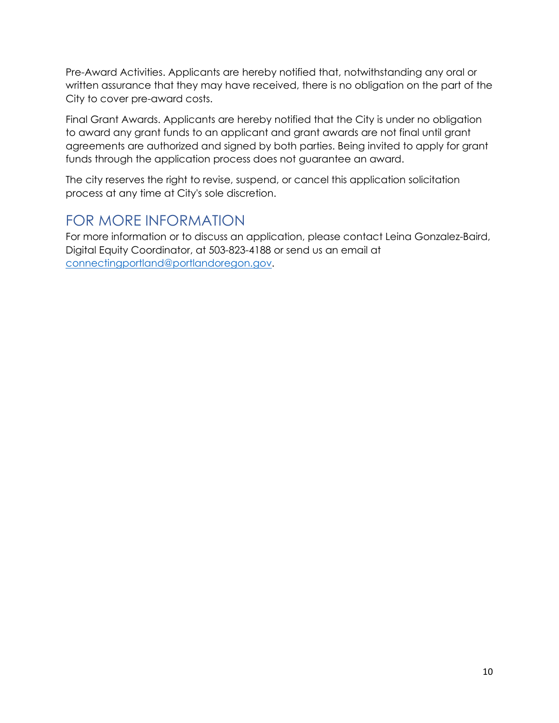Pre-Award Activities. Applicants are hereby notified that, notwithstanding any oral or written assurance that they may have received, there is no obligation on the part of the City to cover pre-award costs.

Final Grant Awards. Applicants are hereby notified that the City is under no obligation to award any grant funds to an applicant and grant awards are not final until grant agreements are authorized and signed by both parties. Being invited to apply for grant funds through the application process does not guarantee an award.

The city reserves the right to revise, suspend, or cancel this application solicitation process at any time at City's sole discretion.

## FOR MORE INFORMATION

For more information or to discuss an application, please contact Leina Gonzalez-Baird, Digital Equity Coordinator, at 503-823-4188 or send us an email at [connectingportland@portlandoregon.gov.](mailto:connectingportland@portlandoregon.gov)